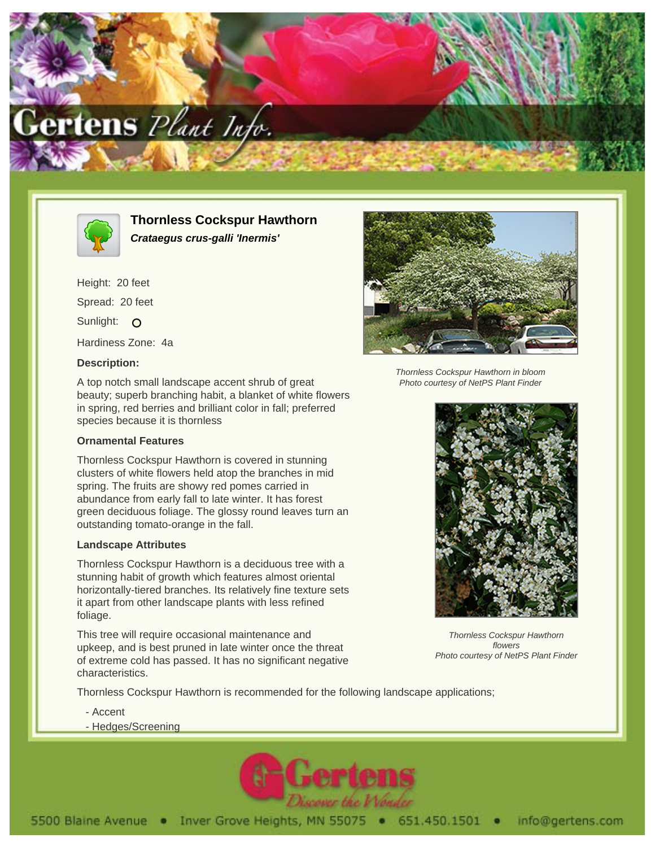



**Thornless Cockspur Hawthorn Crataegus crus-galli 'Inermis'**

Height: 20 feet Spread: 20 feet Sunlight: O Hardiness Zone: 4a

## **Description:**

A top notch small landscape accent shrub of great beauty; superb branching habit, a blanket of white flowers in spring, red berries and brilliant color in fall; preferred species because it is thornless

## **Ornamental Features**

Thornless Cockspur Hawthorn is covered in stunning clusters of white flowers held atop the branches in mid spring. The fruits are showy red pomes carried in abundance from early fall to late winter. It has forest green deciduous foliage. The glossy round leaves turn an outstanding tomato-orange in the fall.

## **Landscape Attributes**

Thornless Cockspur Hawthorn is a deciduous tree with a stunning habit of growth which features almost oriental horizontally-tiered branches. Its relatively fine texture sets it apart from other landscape plants with less refined foliage.

This tree will require occasional maintenance and upkeep, and is best pruned in late winter once the threat of extreme cold has passed. It has no significant negative characteristics.

Thornless Cockspur Hawthorn is recommended for the following landscape applications;

- Accent
- Hedges/Screening





Thornless Cockspur Hawthorn in bloom Photo courtesy of NetPS Plant Finder



Thornless Cockspur Hawthorn flowers Photo courtesy of NetPS Plant Finder